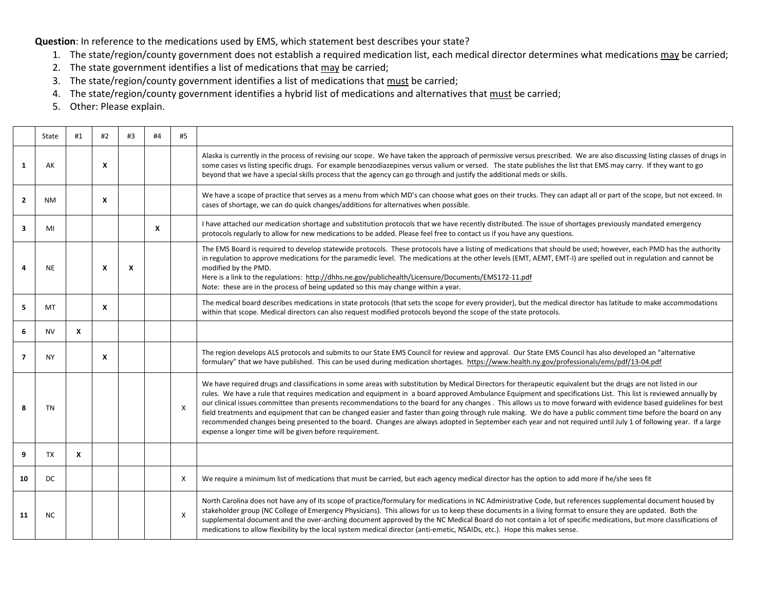**Question**: In reference to the medications used by EMS, which statement best describes your state?

- 1. The state/region/county government does not establish a required medication list, each medical director determines what medications may be carried;
- 2. The state government identifies a list of medications that may be carried;
- 3. The state/region/county government identifies a list of medications that must be carried;
- 4. The state/region/county government identifies a hybrid list of medications and alternatives that must be carried;
- 5. Other: Please explain.

|                | State     | #1 | #2                        | #3 | #4 | #5 |                                                                                                                                                                                                                                                                                                                                                                                                                                                                                                                                                                                                                                                                                                                                                                                                                                                                                                      |
|----------------|-----------|----|---------------------------|----|----|----|------------------------------------------------------------------------------------------------------------------------------------------------------------------------------------------------------------------------------------------------------------------------------------------------------------------------------------------------------------------------------------------------------------------------------------------------------------------------------------------------------------------------------------------------------------------------------------------------------------------------------------------------------------------------------------------------------------------------------------------------------------------------------------------------------------------------------------------------------------------------------------------------------|
| 1              | AK        |    | $\boldsymbol{\mathsf{x}}$ |    |    |    | Alaska is currently in the process of revising our scope. We have taken the approach of permissive versus prescribed. We are also discussing listing classes of drugs in<br>some cases vs listing specific drugs. For example benzodiazepines versus valium or versed. The state publishes the list that EMS may carry. If they want to go<br>beyond that we have a special skills process that the agency can go through and justify the additional meds or skills.                                                                                                                                                                                                                                                                                                                                                                                                                                 |
| $\overline{2}$ | NΜ        |    | X                         |    |    |    | We have a scope of practice that serves as a menu from which MD's can choose what goes on their trucks. They can adapt all or part of the scope, but not exceed. In<br>cases of shortage, we can do quick changes/additions for alternatives when possible.                                                                                                                                                                                                                                                                                                                                                                                                                                                                                                                                                                                                                                          |
| 3              | MI        |    |                           |    | X  |    | I have attached our medication shortage and substitution protocols that we have recently distributed. The issue of shortages previously mandated emergency<br>protocols regularly to allow for new medications to be added. Please feel free to contact us if you have any questions.                                                                                                                                                                                                                                                                                                                                                                                                                                                                                                                                                                                                                |
| Δ              | <b>NE</b> |    | X                         | X  |    |    | The EMS Board is required to develop statewide protocols. These protocols have a listing of medications that should be used; however, each PMD has the authority<br>in regulation to approve medications for the paramedic level. The medications at the other levels (EMT, AEMT, EMT-I) are spelled out in regulation and cannot be<br>modified by the PMD.<br>Here is a link to the regulations: http://dhhs.ne.gov/publichealth/Licensure/Documents/EMS172-11.pdf<br>Note: these are in the process of being updated so this may change within a year.                                                                                                                                                                                                                                                                                                                                            |
| 5              | MT        |    | $\boldsymbol{x}$          |    |    |    | The medical board describes medications in state protocols (that sets the scope for every provider), but the medical director has latitude to make accommodations<br>within that scope. Medical directors can also request modified protocols beyond the scope of the state protocols.                                                                                                                                                                                                                                                                                                                                                                                                                                                                                                                                                                                                               |
| 6              | <b>NV</b> | X  |                           |    |    |    |                                                                                                                                                                                                                                                                                                                                                                                                                                                                                                                                                                                                                                                                                                                                                                                                                                                                                                      |
| $\overline{7}$ | <b>NY</b> |    | X                         |    |    |    | The region develops ALS protocols and submits to our State EMS Council for review and approval. Our State EMS Council has also developed an "alternative<br>formulary" that we have published. This can be used during medication shortages. https://www.health.ny.gov/professionals/ems/pdf/13-04.pdf                                                                                                                                                                                                                                                                                                                                                                                                                                                                                                                                                                                               |
| 8              | <b>TN</b> |    |                           |    |    | X  | We have required drugs and classifications in some areas with substitution by Medical Directors for therapeutic equivalent but the drugs are not listed in our<br>rules. We have a rule that requires medication and equipment in a board approved Ambulance Equipment and specifications List. This list is reviewed annually by<br>our clinical issues committee than presents recommendations to the board for any changes. This allows us to move forward with evidence based guidelines for best<br>field treatments and equipment that can be changed easier and faster than going through rule making. We do have a public comment time before the board on any<br>recommended changes being presented to the board. Changes are always adopted in September each year and not required until July 1 of following year. If a large<br>expense a longer time will be given before requirement. |
| 9              | <b>TX</b> | X  |                           |    |    |    |                                                                                                                                                                                                                                                                                                                                                                                                                                                                                                                                                                                                                                                                                                                                                                                                                                                                                                      |
| 10             | DC        |    |                           |    |    | X  | We require a minimum list of medications that must be carried, but each agency medical director has the option to add more if he/she sees fit                                                                                                                                                                                                                                                                                                                                                                                                                                                                                                                                                                                                                                                                                                                                                        |
| 11             | <b>NC</b> |    |                           |    |    | X  | North Carolina does not have any of its scope of practice/formulary for medications in NC Administrative Code, but references supplemental document housed by<br>stakeholder group (NC College of Emergency Physicians). This allows for us to keep these documents in a living format to ensure they are updated. Both the<br>supplemental document and the over-arching document approved by the NC Medical Board do not contain a lot of specific medications, but more classifications of<br>medications to allow flexibility by the local system medical director (anti-emetic, NSAIDs, etc.). Hope this makes sense.                                                                                                                                                                                                                                                                           |